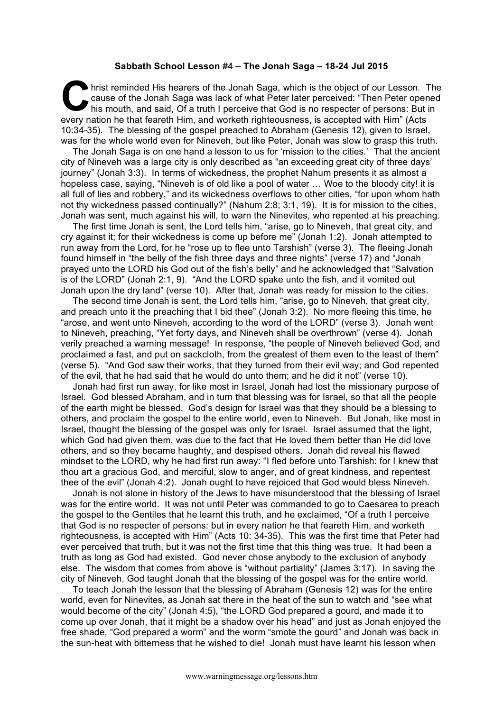## **Sabbath School Lesson #4 – The Jonah Saga – 18-24 Jul 2015**

hrist reminded His hearers of the Jonah Saga, which is the object of our Lesson. The cause of the Jonah Saga was lack of what Peter later perceived: "Then Peter opened his mouth, and said, Of a truth I perceive that God is no respecter of persons: But in every nation he that feareth Him, and worketh righteousness, is accepted with Him" (Acts 10:34-35). The blessing of the gospel preached to Abraham (Genesis 12), given to Israel, was for the whole world even for Nineveh, but like Peter, Jonah was slow to grasp this truth. **C** 

The Jonah Saga is on one hand a lesson to us for 'mission to the cities.' That the ancient city of Nineveh was a large city is only described as "an exceeding great city of three days' journey" (Jonah 3:3). In terms of wickedness, the prophet Nahum presents it as almost a hopeless case, saying, "Nineveh is of old like a pool of water ... Woe to the bloody city! it is all full of lies and robbery," and its wickedness overflows to other cities, "for upon whom hath not thy wickedness passed continually?" (Nahum 2:8; 3:1, 19). It is for mission to the cities, Jonah was sent, much against his will, to warn the Ninevites, who repented at his preaching.

The first time Jonah is sent, the Lord tells him, "arise, go to Nineveh, that great city, and cry against it; for their wickedness is come up before me" (Jonah 1:2). Jonah attempted to run away from the Lord, for he "rose up to flee unto Tarshish" (verse 3). The fleeing Jonah found himself in "the belly of the fish three days and three nights" (verse 17) and "Jonah prayed unto the LORD his God out of the fish's belly" and he acknowledged that "Salvation is of the LORD" (Jonah 2:1, 9). "And the LORD spake unto the fish, and it vomited out Jonah upon the dry land" (verse 10). After that, Jonah was ready for mission to the cities.

The second time Jonah is sent, the Lord tells him, "arise, go to Nineveh, that great city, and preach unto it the preaching that I bid thee" (Jonah 3:2). No more fleeing this time, he "arose, and went unto Nineveh, according to the word of the LORD" (verse 3). Jonah went to Nineveh, preaching, "Yet forty days, and Nineveh shall be overthrown" (verse 4). Jonah verily preached a warning message! In response, "the people of Nineveh believed God, and proclaimed a fast, and put on sackcloth, from the greatest of them even to the least of them" (verse 5). "And God saw their works, that they turned from their evil way; and God repented of the evil, that he had said that he would do unto them; and he did it not" (verse 10).

Jonah had first run away, for like most in Israel, Jonah had lost the missionary purpose of Israel. God blessed Abraham, and in turn that blessing was for Israel, so that all the people of the earth might be blessed. God's design for Israel was that they should be a blessing to others, and proclaim the gospel to the entire world, even to Nineveh. But Jonah, like most in Israel, thought the blessing of the gospel was only for Israel. Israel assumed that the light, which God had given them, was due to the fact that He loved them better than He did love others, and so they became haughty, and despised others. Jonah did reveal his flawed mindset to the LORD, why he had first run away: "I fled before unto Tarshish: for I knew that thou art a gracious God, and merciful, slow to anger, and of great kindness, and repentest thee of the evil" (Jonah 4:2). Jonah ought to have rejoiced that God would bless Nineveh.

Jonah is not alone in history of the Jews to have misunderstood that the blessing of Israel was for the entire world. It was not until Peter was commanded to go to Caesarea to preach the gospel to the Gentiles that he learnt this truth, and he exclaimed, "Of a truth I perceive that God is no respecter of persons: but in every nation he that feareth Him, and worketh righteousness, is accepted with Him" (Acts 10: 34-35). This was the first time that Peter had ever perceived that truth, but it was not the first time that this thing was true. It had been a truth as long as God had existed. God never chose anybody to the exclusion of anybody else. The wisdom that comes from above is "without partiality" (James 3:17). In saving the city of Nineveh, God taught Jonah that the blessing of the gospel was for the entire world.

To teach Jonah the lesson that the blessing of Abraham (Genesis 12) was for the entire world, even for Ninevites, as Jonah sat there in the heat of the sun to watch and "see what would become of the city" (Jonah 4:5), "the LORD God prepared a gourd, and made it to come up over Jonah, that it might be a shadow over his head" and just as Jonah enjoyed the free shade, "God prepared a worm" and the worm "smote the gourd" and Jonah was back in the sun-heat with bitterness that he wished to die! Jonah must have learnt his lesson when